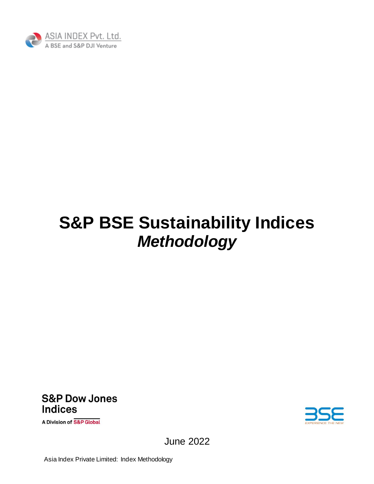

# **S&P BSE Sustainability Indices** *Methodology*

**S&P Dow Jones Indices** 

A Division of S&P Global



June 2022

Asia Index Private Limited: Index Methodology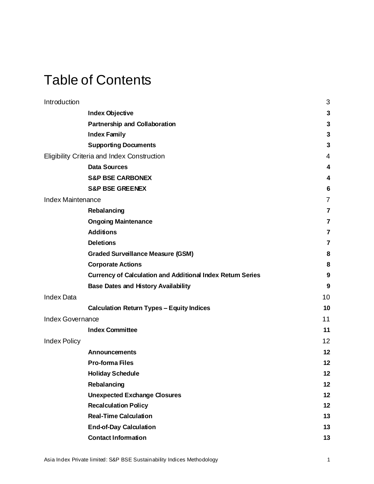## Table of Contents

| Introduction             |                                                                   | 3  |
|--------------------------|-------------------------------------------------------------------|----|
|                          | <b>Index Objective</b>                                            | 3  |
|                          | <b>Partnership and Collaboration</b>                              | 3  |
|                          | <b>Index Family</b>                                               | 3  |
|                          | <b>Supporting Documents</b>                                       | 3  |
|                          | Eligibility Criteria and Index Construction                       | 4  |
|                          | <b>Data Sources</b>                                               | 4  |
|                          | <b>S&amp;P BSE CARBONEX</b>                                       | 4  |
|                          | <b>S&amp;P BSE GREENEX</b>                                        | 6  |
| <b>Index Maintenance</b> |                                                                   | 7  |
|                          | Rebalancing                                                       | 7  |
|                          | <b>Ongoing Maintenance</b>                                        | 7  |
|                          | <b>Additions</b>                                                  | 7  |
|                          | <b>Deletions</b>                                                  | 7  |
|                          | <b>Graded Surveillance Measure (GSM)</b>                          | 8  |
|                          | <b>Corporate Actions</b>                                          | 8  |
|                          | <b>Currency of Calculation and Additional Index Return Series</b> | 9  |
|                          | <b>Base Dates and History Availability</b>                        | 9  |
| <b>Index Data</b>        |                                                                   | 10 |
|                          | <b>Calculation Return Types - Equity Indices</b>                  | 10 |
| Index Governance         |                                                                   | 11 |
|                          | <b>Index Committee</b>                                            | 11 |
| <b>Index Policy</b>      |                                                                   | 12 |
|                          | <b>Announcements</b>                                              | 12 |
|                          | <b>Pro-forma Files</b>                                            | 12 |
|                          | <b>Holiday Schedule</b>                                           | 12 |
|                          | Rebalancing                                                       | 12 |
|                          | <b>Unexpected Exchange Closures</b>                               | 12 |
|                          | <b>Recalculation Policy</b>                                       | 12 |
|                          | <b>Real-Time Calculation</b>                                      | 13 |
|                          | <b>End-of-Day Calculation</b>                                     | 13 |
|                          | <b>Contact Information</b>                                        | 13 |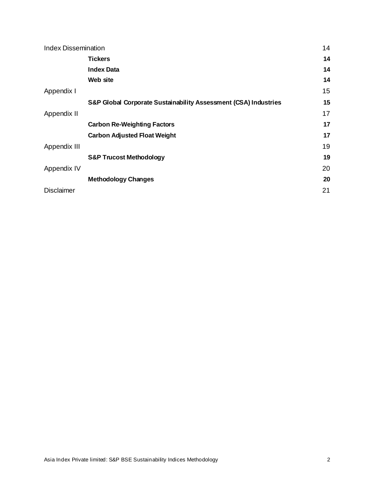| <b>Index Dissemination</b> |                                                                 | 14 |
|----------------------------|-----------------------------------------------------------------|----|
|                            | <b>Tickers</b>                                                  | 14 |
|                            | <b>Index Data</b>                                               | 14 |
|                            | Web site                                                        | 14 |
| Appendix I                 |                                                                 | 15 |
|                            | S&P Global Corporate Sustainability Assessment (CSA) Industries | 15 |
| Appendix II                |                                                                 | 17 |
|                            | <b>Carbon Re-Weighting Factors</b>                              | 17 |
|                            | <b>Carbon Adjusted Float Weight</b>                             | 17 |
| Appendix III               |                                                                 | 19 |
|                            | <b>S&amp;P Trucost Methodology</b>                              | 19 |
| Appendix IV                |                                                                 | 20 |
|                            | <b>Methodology Changes</b>                                      | 20 |
| <b>Disclaimer</b>          |                                                                 | 21 |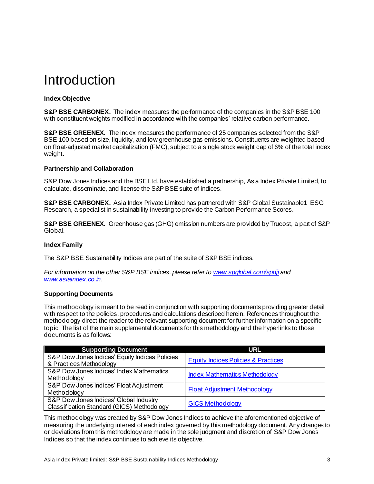## <span id="page-3-0"></span>Introduction

### <span id="page-3-1"></span>**Index Objective**

**S&P BSE CARBONEX.** The index measures the performance of the companies in the S&P BSE 100 with constituent weights modified in accordance with the companies' relative carbon performance.

**S&P BSE GREENEX.** The index measures the performance of 25 companies selected from the S&P BSE 100 based on size, liquidity, and low greenhouse gas emissions. Constituents are weighted based on float-adjusted market capitalization (FMC), subject to a single stock weight cap of 6% of the total index weight.

### <span id="page-3-2"></span>**Partnership and Collaboration**

S&P Dow Jones Indices and the BSE Ltd. have established a partnership, Asia Index Private Limited, to calculate, disseminate, and license the S&P BSE suite of indices.

**S&P BSE CARBONEX.** Asia Index Private Limited has partnered with S&P Global Sustainable1 ESG Research, a specialist in sustainability investing to provide the Carbon Performance Scores.

**S&P BSE GREENEX.** Greenhouse gas (GHG) emission numbers are provided by Trucost, a part of S&P Global.

### <span id="page-3-3"></span>**Index Family**

The S&P BSE Sustainability Indices are part of the suite of S&P BSE indices.

*For information on the other S&P BSE indices, please refer t[o www.spglobal.com/spdji](https://www.spglobal.com/spdji/en/) and [www.asiaindex.co.in](http://www.asiaindex.co.in/).*

### <span id="page-3-4"></span>**Supporting Documents**

This methodology is meant to be read in conjunction with supporting documents providing greater detail with respect to the policies, procedures and calculations described herein. References throughout the methodology direct the reader to the relevant supporting document for further information on a specific topic. The list of the main supplemental documents for this methodology and the hyperlinks to those documents is as follows:

| <b>Supporting Document</b>                     | URL                                            |
|------------------------------------------------|------------------------------------------------|
| S&P Dow Jones Indices' Equity Indices Policies | <b>Equity Indices Policies &amp; Practices</b> |
| & Practices Methodology                        |                                                |
| S&P Dow Jones Indices' Index Mathematics       | <b>Index Mathematics Methodology</b>           |
| Methodology                                    |                                                |
| S&P Dow Jones Indices' Float Adjustment        |                                                |
| Methodology                                    | <b>Float Adjustment Methodology</b>            |
| S&P Dow Jones Indices' Global Industry         |                                                |
| Classification Standard (GICS) Methodology     | <b>GICS Methodology</b>                        |

This methodology was created by S&P Dow Jones Indices to achieve the aforementioned objective of measuring the underlying interest of each index governed by this methodology document. Any changes to or deviations from this methodology are made in the sole judgment and discretion of S&P Dow Jones Indices so that the index continues to achieve its objective.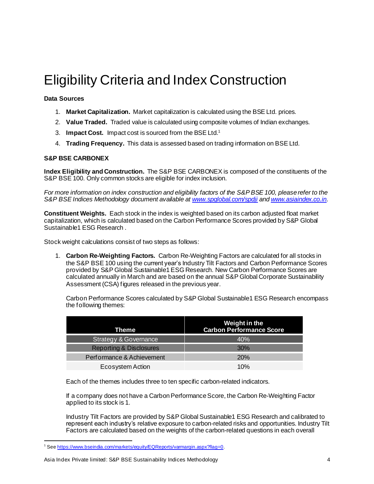## <span id="page-4-0"></span>Eligibility Criteria and Index Construction

### <span id="page-4-1"></span>**Data Sources**

- 1. **Market Capitalization.** Market capitalization is calculated using the BSE Ltd. prices.
- 2. **Value Traded.** Traded value is calculated using composite volumes of Indian exchanges.
- 3. **Impact Cost.** Impact cost is sourced from the BSE Ltd.<sup>1</sup>
- 4. **Trading Frequency.** This data is assessed based on trading information on BSE Ltd.

### <span id="page-4-2"></span>**S&P BSE CARBONEX**

**Index Eligibility and Construction.** The S&P BSE CARBONEX is composed of the constituents of the S&P BSE 100. Only common stocks are eligible for index inclusion.

*For more information on index construction and eligibility factors of the S&P BSE 100, please refer to the S&P BSE Indices Methodology document available a[t www.spglobal.com/spdji](https://www.spglobal.com/spdji/en/) an[d www.asiaindex.co.in](http://www.asiaindex.co.in/).*

**Constituent Weights.** Each stock in the index is weighted based on its carbon adjusted float market capitalization, which is calculated based on the Carbon Performance Scores provided by S&P Global Sustainable1 ESG Research .

Stock weight calculations consist of two steps as follows:

1. **Carbon Re-Weighting Factors.** Carbon Re-Weighting Factors are calculated for all stocks in the S&P BSE 100 using the current year's Industry Tilt Factors and Carbon Performance Scores provided by S&P Global Sustainable1 ESG Research. New Carbon Performance Scores are calculated annually in March and are based on the annual S&P Global Corporate Sustainability Assessment (CSA) figures released in the previous year.

Carbon Performance Scores calculated by S&P Global Sustainable1 ESG Research encompass the following themes:

| Theme                              | Weight in the<br><b>Carbon Performance Score</b> |
|------------------------------------|--------------------------------------------------|
| <b>Strategy &amp; Governance</b>   | 40%                                              |
| <b>Reporting &amp; Disclosures</b> | 30%                                              |
| Performance & Achievement          | 20%                                              |
| Ecosystem Action                   | 10%                                              |

Each of the themes includes three to ten specific carbon-related indicators.

If a company does not have a Carbon Performance Score, the Carbon Re-Weighting Factor applied to its stock is 1.

Industry Tilt Factors are provided by S&P Global Sustainable1 ESG Research and calibrated to represent each industry's relative exposure to carbon-related risks and opportunities. Industry Tilt Factors are calculated based on the weights of the carbon-related questions in each overall

<sup>&</sup>lt;sup>1</sup> Se[e https://www.bseindia.com/markets/equity/EQReports/varmargin.aspx?flag=0](https://www.bseindia.com/markets/equity/EQReports/varmargin.aspx?flag=0).

Asia Index Private limited: S&P BSE Sustainability Indices Methodology 4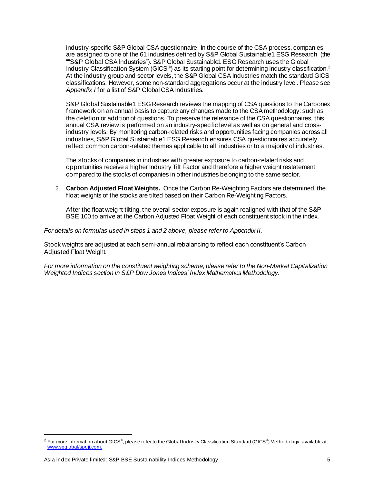industry-specific S&P Global CSA questionnaire. In the course of the CSA process, companies are assigned to one of the 61 industries defined by S&P Global Sustainable1 ESG Research (the ""S&P Global CSA Industries"). S&P Global Sustainable1 ESG Research uses the Global Industry Classification System (GICS<sup>®</sup>) as its starting point for determining industry classification.<sup>2</sup> At the industry group and sector levels, the S&P Global CSA Industries match the standard GICS classifications. However, some non-standard aggregations occur at the industry level. Please see *Appendix I* for a list of S&P Global CSA Industries.

S&P Global Sustainable1 ESG Research reviews the mapping of CSA questions to the Carbonex framework on an annual basis to capture any changes made to the CSA methodology: such as the deletion or addition of questions. To preserve the relevance of the CSA questionnaires, this annual CSA review is performed on an industry-specific level as well as on general and crossindustry levels. By monitoring carbon-related risks and opportunities facing companies across all industries, S&P Global Sustainable1 ESG Research ensures CSA questionnaires accurately reflect common carbon-related themes applicable to all industries or to a majority of industries.

The stocks of companies in industries with greater exposure to carbon-related risks and opportunities receive a higher Industry Tilt Factor and therefore a higher weight restatement compared to the stocks of companies in other industries belonging to the same sector.

2. **Carbon Adjusted Float Weights.** Once the Carbon Re-Weighting Factors are determined, the float weights of the stocks are tilted based on their Carbon Re-Weighting Factors.

After the float weight tilting, the overall sector exposure is again realigned with that of the S&P BSE 100 to arrive at the Carbon Adjusted Float Weight of each constituent stock in the index.

*For details on formulas used in steps 1 and 2 above, please refer to Appendix II.*

Stock weights are adjusted at each semi-annual rebalancing to reflect each constituent's Carbon Adjusted Float Weight.

*For more information on the constituent weighting scheme, please refer to the Non-Market Capitalization Weighted Indices section in S&P Dow Jones Indices' Index Mathematics Methodology.*

 $^2$  For more information about GICS®, please refer to the Global Industry Classification Standard (GICS®) Methodology, available at [www.spglobal/spdji.com](http://www.spdji.com/).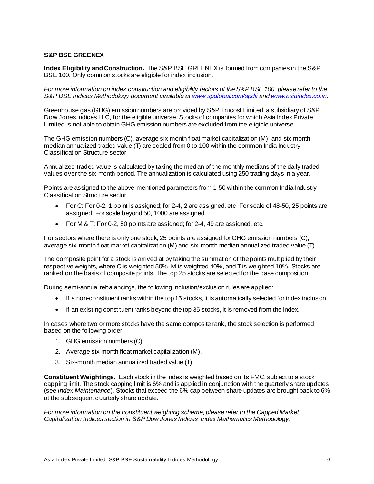### <span id="page-6-0"></span>**S&P BSE GREENEX**

**Index Eligibility and Construction.** The S&P BSE GREENEX is formed from companies in the S&P BSE 100. Only common stocks are eligible for index inclusion.

*For more information on index construction and eligibility factors of the S&P BSE 100, please refer to the S&P BSE Indices Methodology document available a[t www.spglobal.com/spdji](https://www.spglobal.com/spdji/en/) an[d www.asiaindex.co.in](http://www.asiaindex.co.in/)*.

Greenhouse gas (GHG) emission numbers are provided by S&P Trucost Limited, a subsidiary of S&P Dow Jones Indices LLC, for the eligible universe. Stocks of companies for which Asia Index Private Limited is not able to obtain GHG emission numbers are excluded from the eligible universe.

The GHG emission numbers (C), average six-month float market capitalization (M), and six-month median annualized traded value (T) are scaled from 0 to 100 within the common India Industry Classification Structure sector.

Annualized traded value is calculated by taking the median of the monthly medians of the daily traded values over the six-month period. The annualization is calculated using 250 trading days in a year.

Points are assigned to the above-mentioned parameters from 1-50 within the common India Industry Classification Structure sector.

- For C: For 0-2, 1 point is assigned; for 2-4, 2 are assigned, etc. For scale of 48-50, 25 points are assigned. For scale beyond 50, 1000 are assigned.
- For M & T: For 0-2, 50 points are assigned; for 2-4, 49 are assigned, etc.

For sectors where there is only one stock, 25 points are assigned for GHG emission numbers (C), average six-month float market capitalization (M) and six-month median annualized traded value (T).

The composite point for a stock is arrived at by taking the summation of the points multiplied by their respective weights, where C is weighted 50%, M is weighted 40%, and T is weighted 10%. Stocks are ranked on the basis of composite points. The top 25 stocks are selected for the base composition.

During semi-annual rebalancings, the following inclusion/exclusion rules are applied:

- If a non-constituent ranks within the top 15 stocks, it is automatically selected for index inclusion.
- If an existing constituent ranks beyond the top 35 stocks, it is removed from the index.

In cases where two or more stocks have the same composite rank, the stock selection is performed based on the following order:

- 1. GHG emission numbers (C).
- 2. Average six-month float market capitalization (M).
- 3. Six-month median annualized traded value (T).

**Constituent Weightings.** Each stock in the index is weighted based on its FMC, subject to a stock capping limit. The stock capping limit is 6% and is applied in conjunction with the quarterly share updates (see *Index Maintenance*). Stocks that exceed the 6% cap between share updates are brought back to 6% at the subsequent quarterly share update.

*For more information on the constituent weighting scheme, please refer to the Capped Market Capitalization Indices section in S&P Dow Jones Indices' Index Mathematics Methodology.*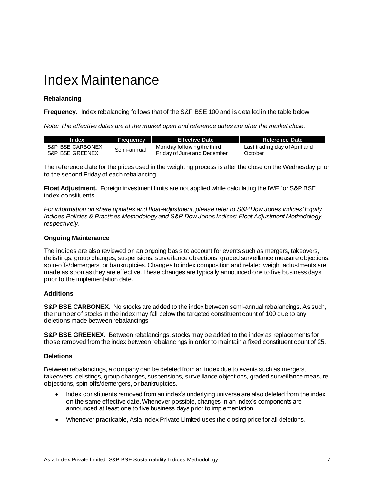### <span id="page-7-0"></span>Index Maintenance

### <span id="page-7-1"></span>**Rebalancing**

**Frequency.** Index rebalancing follows that of the S&P BSE 100 and is detailed in the table below.

*Note: The effective dates are at the market open and reference dates are after the market close.*

| Index            | <b>Frequency</b> | <b>Effective Date</b>       | Reference Date                |
|------------------|------------------|-----------------------------|-------------------------------|
| S&P BSE CARBONEX | Semi-annual      | Monday following the third  | Last trading day of April and |
| S&P BSE GREENEX  |                  | Friday of June and December | October                       |

The reference date for the prices used in the weighting process is after the close on the Wednesday prior to the second Friday of each rebalancing.

**Float Adjustment.** Foreign investment limits are not applied while calculating the IWF for S&P BSE index constituents.

*For information on share updates and float-adjustment, please refer to S&P Dow Jones Indices' Equity Indices Policies & Practices Methodology and S&P Dow Jones Indices' Float Adjustment Methodology, respectively.*

### <span id="page-7-2"></span>**Ongoing Maintenance**

The indices are also reviewed on an ongoing basis to account for events such as mergers, takeovers, delistings, group changes, suspensions, surveillance objections, graded surveillance measure objections, spin-offs/demergers, or bankruptcies. Changes to index composition and related weight adjustments are made as soon as they are effective. These changes are typically announced one to five business days prior to the implementation date.

### <span id="page-7-3"></span>**Additions**

**S&P BSE CARBONEX.** No stocks are added to the index between semi-annual rebalancings. As such, the number of stocks in the index may fall below the targeted constituent count of 100 due to any deletions made between rebalancings.

**S&P BSE GREENEX.** Between rebalancings, stocks may be added to the index as replacements for those removed from the index between rebalancings in order to maintain a fixed constituent count of 25.

### <span id="page-7-4"></span>**Deletions**

Between rebalancings, a company can be deleted from an index due to events such as mergers, takeovers, delistings, group changes, suspensions, surveillance objections, graded surveillance measure objections, spin-offs/demergers, or bankruptcies.

- Index constituents removed from an index's underlying universe are also deleted from the index on the same effective date.Whenever possible, changes in an index's components are announced at least one to five business days prior to implementation.
- Whenever practicable, Asia Index Private Limited uses the closing price for all deletions.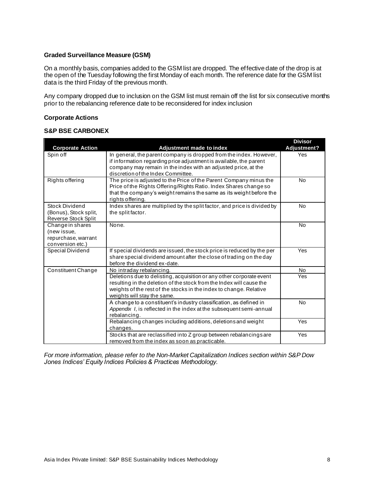### <span id="page-8-0"></span>**Graded Surveillance Measure (GSM)**

On a monthly basis, companies added to the GSM list are dropped. The effective date of the drop is at the open of the Tuesday following the first Monday of each month. The reference date for the GSM list data is the third Friday of the previous month.

Any company dropped due to inclusion on the GSM list must remain off the list for six consecutive months prior to the rebalancing reference date to be reconsidered for index inclusion

### <span id="page-8-1"></span>**Corporate Actions**

### **S&P BSE CARBONEX**

|                         |                                                                          | <b>Divisor</b> |
|-------------------------|--------------------------------------------------------------------------|----------------|
| <b>Corporate Action</b> | Adjustment made to index                                                 | Adjustment?    |
| Spin off                | In general, the parent company is dropped from the index. However,       | Yes            |
|                         | if information regarding price adjustment is available, the parent       |                |
|                         | company may remain in the index with an adjusted price, at the           |                |
|                         | discretion of the Index Committee.                                       |                |
| Rights offering         | The price is adjusted to the Price of the Parent Company minus the       | <b>No</b>      |
|                         | Price of the Rights Offering/Rights Ratio. Index Shares change so        |                |
|                         | that the company's weight remains the same as its weight before the      |                |
|                         | rights offering.                                                         |                |
| Stock Dividend          | Index shares are multiplied by the split factor, and price is divided by | <b>No</b>      |
| (Bonus), Stock split,   | the split factor.                                                        |                |
| Reverse Stock Split     |                                                                          |                |
| Change in shares        | None.                                                                    | <b>No</b>      |
| (new issue,             |                                                                          |                |
| repurchase, warrant     |                                                                          |                |
| conversion etc.)        |                                                                          |                |
| Special Dividend        | If special dividends are issued, the stock price is reduced by the per   | Yes            |
|                         | share special dividend amount after the close of trading on the day      |                |
|                         | before the dividend ex-date.                                             |                |
| Constituent Change      | No intraday rebalancing.                                                 | <b>No</b>      |
|                         | Deletions due to delisting, acquisition or any other corporate event     | Yes            |
|                         | resulting in the deletion of the stock from the Index will cause the     |                |
|                         | weights of the rest of the stocks in the index to change. Relative       |                |
|                         | weights will stay the same.                                              |                |
|                         | A change to a constituent's industry classification, as defined in       | <b>No</b>      |
|                         | Appendix I, is reflected in the index at the subsequent semi-annual      |                |
|                         | rebalancing.                                                             |                |
|                         | Rebalancing changes including additions, deletions and weight            | Yes            |
|                         | changes.                                                                 |                |
|                         | Stocks that are reclassified into Z group between rebalancings are       | Yes            |
|                         | removed from the index as soon as practicable.                           |                |

*For more information, please refer to the Non-Market Capitalization Indices section within S&P Dow Jones Indices' Equity Indices Policies & Practices Methodology.*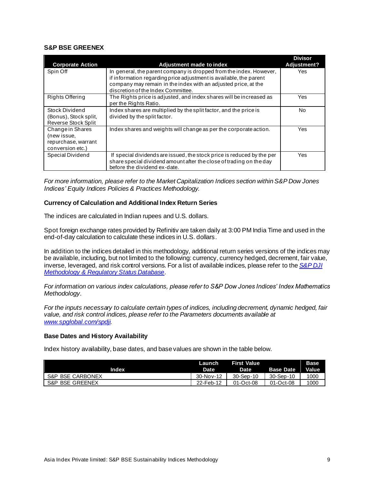### **S&P BSE GREENEX**

|                         |                                                                        | <b>Divisor</b> |
|-------------------------|------------------------------------------------------------------------|----------------|
| <b>Corporate Action</b> | Adjustment made to index                                               | Adjustment?    |
| Spin Off                | In general, the parent company is dropped from the index. However,     | Yes            |
|                         | if information regarding price adjustment is available, the parent     |                |
|                         | company may remain in the index with an adjusted price, at the         |                |
|                         | discretion of the Index Committee.                                     |                |
| Rights Offering         | The Rights price is adjusted, and index shares will be increased as    | Yes            |
|                         | per the Rights Ratio.                                                  |                |
| Stock Dividend          | Index shares are multiplied by the split factor, and the price is      | N <sub>0</sub> |
| (Bonus), Stock split,   | divided by the split factor.                                           |                |
| Reverse Stock Split     |                                                                        |                |
| Change in Shares        | Index shares and weights will change as per the corporate action.      | Yes            |
| (new issue,             |                                                                        |                |
| repurchase, warrant     |                                                                        |                |
| conversion etc.)        |                                                                        |                |
| Special Dividend        | If special dividends are issued, the stock price is reduced by the per | Yes            |
|                         | share special dividend amount after the close of trading on the day    |                |
|                         | before the dividend ex-date.                                           |                |

*For more information, please refer to the Market Capitalization Indices section within S&P Dow Jones Indices' Equity Indices Policies & Practices Methodology.*

#### <span id="page-9-0"></span>**Currency of Calculation and Additional Index Return Series**

The indices are calculated in Indian rupees and U.S. dollars.

Spot foreign exchange rates provided by Refinitiv are taken daily at 3:00 PM India Time and used in the end-of-day calculation to calculate these indices in U.S. dollars.

In addition to the indices detailed in this methodology, additional return series versions of the indices may be available, including, but not limited to the following: currency, currency hedged, decrement, fair value, inverse, leveraged, and risk control versions. For a list of available indices, please refer to the *[S&P DJI](https://www.spglobal.com/spdji/en/governance/methodology-and-regulatory-status/)  [Methodology & Regulatory Status Database](https://www.spglobal.com/spdji/en/governance/methodology-and-regulatory-status/)*.

*For information on various index calculations, please refer to S&P Dow Jones Indices' Index Mathematics Methodology.*

*For the inputs necessary to calculate certain types of indices, including decrement, dynamic hedged, fair value, and risk control indices, please refer to the Parameters documents available at [www.spglobal.com/spdji](https://www.spglobal.com/spdji/en/).*

### <span id="page-9-1"></span>**Base Dates and History Availability**

Index history availability, base dates, and base values are shown in the table below.

|                  | Launch      | <b>First Value</b> |                  | <b>Base</b>  |
|------------------|-------------|--------------------|------------------|--------------|
| Index            | Date        | Date               | <b>Base Date</b> | <b>Value</b> |
| S&P BSE CARBONEX | $30-Nov-12$ | 30-Sep-10          | 30-Sep-10        | 1000         |
| S&P BSE GREENEX  | 22-Feb-12   | 01-Oct-08          | 01-Oct-08        | 1000         |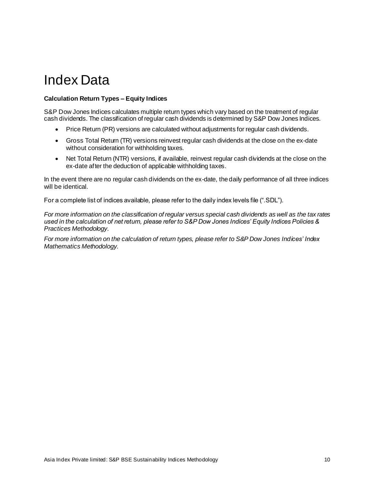## <span id="page-10-0"></span>Index Data

### <span id="page-10-1"></span>**Calculation Return Types – Equity Indices**

S&P Dow Jones Indices calculates multiple return types which vary based on the treatment of regular cash dividends. The classification of regular cash dividends is determined by S&P Dow Jones Indices.

- Price Return (PR) versions are calculated without adjustments for regular cash dividends.
- Gross Total Return (TR) versions reinvest regular cash dividends at the close on the ex-date without consideration for withholding taxes.
- Net Total Return (NTR) versions, if available, reinvest regular cash dividends at the close on the ex-date after the deduction of applicable withholding taxes.

In the event there are no regular cash dividends on the ex-date, the daily performance of all three indices will be identical.

For a complete list of indices available, please refer to the daily index levels file (".SDL").

*For more information on the classification of regular versus special cash dividends as well as the tax rates used in the calculation of net return, please refer to S&P Dow Jones Indices' Equity Indices Policies & Practices Methodology*.

*For more information on the calculation of return types, please refer to S&P Dow Jones Indices' Index Mathematics Methodology.*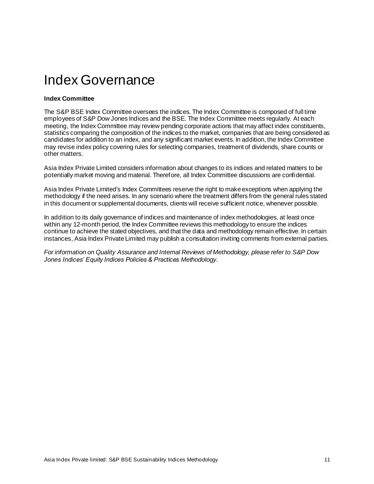## <span id="page-11-0"></span>Index Governance

### <span id="page-11-1"></span>**Index Committee**

The S&P BSE Index Committee oversees the indices. The Index Committee is composed of full time employees of S&P Dow Jones Indices and the BSE. The Index Committee meets regularly. At each meeting, the Index Committee may review pending corporate actions that may affect index constituents, statistics comparing the composition of the indices to the market, companies that are being considered as candidates for addition to an index, and any significant market events. In addition, the Index Committee may revise index policy covering rules for selecting companies, treatment of dividends, share counts or other matters.

Asia Index Private Limited considers information about changes to its indices and related matters to be potentially market moving and material. Therefore, all Index Committee discussions are confidential.

Asia Index Private Limited's Index Committees reserve the right to make exceptions when applying the methodology if the need arises. In any scenario where the treatment differs from the general rules stated in this document or supplemental documents, clients will receive sufficient notice, whenever possible.

In addition to its daily governance of indices and maintenance of index methodologies, at least once within any 12-month period, the Index Committee reviews this methodology to ensure the indices continue to achieve the stated objectives, and that the data and methodology remain effective. In certain instances, Asia Index Private Limited may publish a consultation inviting comments from external parties.

*For information on Quality Assurance and Internal Reviews of Methodology, please refer to S&P Dow Jones Indices' Equity Indices Policies & Practices Methodology*.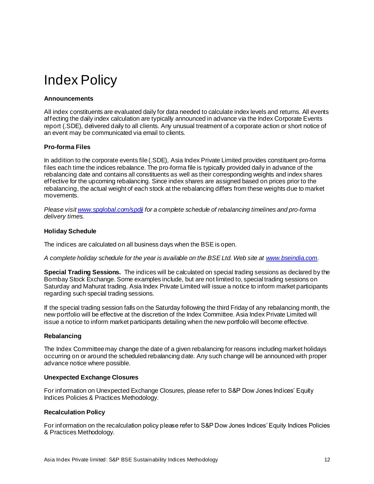## <span id="page-12-0"></span>Index Policy

### <span id="page-12-1"></span>**Announcements**

All index constituents are evaluated daily for data needed to calculate index levels and returns. All events affecting the daily index calculation are typically announced in advance via the Index Corporate Events report (.SDE), delivered daily to all clients. Any unusual treatment of a corporate action or short notice of an event may be communicated via email to clients.

### <span id="page-12-2"></span>**Pro-forma Files**

In addition to the corporate events file (.SDE), Asia Index Private Limited provides constituent pro-forma files each time the indices rebalance. The pro-forma file is typically provided daily in advance of the rebalancing date and contains all constituents as well as their corresponding weights and index shares effective for the upcoming rebalancing. Since index shares are assigned based on prices prior to the rebalancing, the actual weight of each stock at the rebalancing differs from these weights due to market movements.

*Please visi[t www.spglobal.com/spdji](https://www.spglobal.com/spdji/en/) for a complete schedule of rebalancing timelines and pro-forma delivery times.*

### <span id="page-12-3"></span>**Holiday Schedule**

The indices are calculated on all business days when the BSE is open.

*A complete holiday schedule for the year is available on the BSE Ltd. Web site a[t www.bseindia.com](http://www.bseindia.com/).*

**Special Trading Sessions.** The indices will be calculated on special trading sessions as declared by the Bombay Stock Exchange. Some examples include, but are not limited to, special trading sessions on Saturday and Mahurat trading. Asia Index Private Limited will issue a notice to inform market participants regarding such special trading sessions.

If the special trading session falls on the Saturday following the third Friday of any rebalancing month, the new portfolio will be effective at the discretion of the Index Committee. Asia Index Private Limited will issue a notice to inform market participants detailing when the new portfolio will become effective.

### <span id="page-12-4"></span>**Rebalancing**

The Index Committee may change the date of a given rebalancing for reasons including market holidays occurring on or around the scheduled rebalancing date. Any such change will be announced with proper advance notice where possible.

### <span id="page-12-5"></span>**Unexpected Exchange Closures**

For information on Unexpected Exchange Closures, please refer to S&P Dow Jones Indices' Equity Indices Policies & Practices Methodology.

### <span id="page-12-6"></span>**Recalculation Policy**

For information on the recalculation policy please refer to S&P Dow Jones Indices' Equity Indices Policies & Practices Methodology.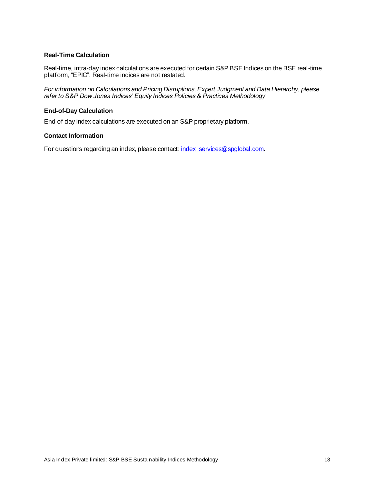### <span id="page-13-0"></span>**Real-Time Calculation**

Real-time, intra-day index calculations are executed for certain S&P BSE Indices on the BSE real-time platform, "EPIC". Real-time indices are not restated.

*For information on Calculations and Pricing Disruptions, Expert Judgment and Data Hierarchy, please refer to S&P Dow Jones Indices' Equity Indices Policies & Practices Methodology*.

### <span id="page-13-1"></span>**End-of-Day Calculation**

End of day index calculations are executed on an S&P proprietary platform.

### <span id="page-13-2"></span>**Contact Information**

For questions regarding an index, please contact[: index\\_services@spglobal.com](mailto:index_services@spglobal.com).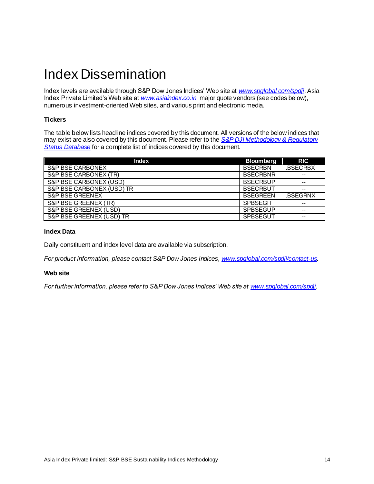## <span id="page-14-0"></span>Index Dissemination

Index levels are available through S&P Dow Jones Indices' Web site at *[www.spglobal.com/spdji](https://www.spglobal.com/spdji/en/)*, Asia Index Private Limited's Web site at *[www.asiaindex.co.in](http://www.asiaindex.co.in/)*, major quote vendors (see codes below), numerous investment-oriented Web sites, and various print and electronic media.

### <span id="page-14-1"></span>**Tickers**

The table below lists headline indices covered by this document. All versions of the below indices that may exist are also covered by this document. Please refer to the *[S&P DJI Methodology & Regulatory](https://www.spglobal.com/spdji/en/governance/methodology-and-regulatory-status/)  [Status Database](https://www.spglobal.com/spdji/en/governance/methodology-and-regulatory-status/)* for a complete list of indices covered by this document.

| <b>Index</b>                | <b>Bloomberg</b> | <b>RIC</b>     |
|-----------------------------|------------------|----------------|
| <b>S&amp;P BSE CARBONEX</b> | <b>BSECRBN</b>   | <b>BSECRBX</b> |
| S&P BSE CARBONEX (TR)       | <b>BSECRBNR</b>  | --             |
| S&P BSE CARBONEX (USD)      | <b>BSECRBUP</b>  |                |
| S&P BSE CARBONEX (USD) TR   | <b>BSECRBUT</b>  | $- -$          |
| <b>S&amp;P BSE GREENEX</b>  | <b>BSEGREEN</b>  | <b>BSEGRNX</b> |
| S&P BSE GREENEX (TR)        | <b>SPBSEGIT</b>  | --             |
| S&P BSE GREENEX (USD)       | <b>SPBSEGUP</b>  | --             |
| S&P BSE GREENEX (USD) TR    | <b>SPBSEGUT</b>  | --             |

### <span id="page-14-2"></span>**Index Data**

Daily constituent and index level data are available via subscription.

<span id="page-14-3"></span>*For product information, please contact S&P Dow Jones Indices[, www.spglobal.com/spdji/contact-us](https://www.spglobal.com/spdji/en/contact-us/).* 

### **Web site**

*For further information, please refer to S&P Dow Jones Indices' Web site a[t www.spglobal.com/spdji](https://www.spglobal.com/spdji/en/).*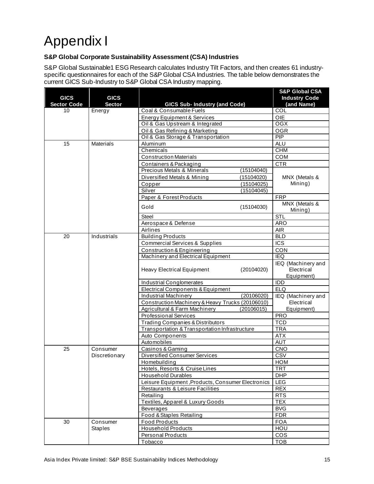## <span id="page-15-0"></span>Appendix I

### <span id="page-15-1"></span>**S&P Global Corporate Sustainability Assessment (CSA) Industries**

S&P Global Sustainable1 ESG Research calculates Industry Tilt Factors, and then creates 61 industryspecific questionnaires for each of the S&P Global CSA Industries. The table below demonstrates the current GICS Sub-Industry to S&P Global CSA Industry mapping.

| <b>GICS</b><br><b>Sector Code</b> | <b>GICS</b><br><b>Sector</b> | <b>GICS Sub- Industry (and Code)</b>              |            | <b>S&amp;P Global CSA</b><br><b>Industry Code</b><br>(and Name) |
|-----------------------------------|------------------------------|---------------------------------------------------|------------|-----------------------------------------------------------------|
| 10                                | Energy                       | Coal & Consumable Fuels                           |            | $\overline{COL}$                                                |
|                                   |                              | Energy Equipment & Services                       |            | <b>OIE</b>                                                      |
|                                   |                              | Oil & Gas Upstream & Integrated                   |            | OGX                                                             |
|                                   |                              | Oil & Gas Refining & Marketing                    |            | <b>OGR</b>                                                      |
|                                   |                              | Oil & Gas Storage & Transportation                |            | PIP                                                             |
| 15                                | <b>Materials</b>             | Aluminum                                          |            | <b>ALU</b>                                                      |
|                                   |                              | Chemicals                                         |            | <b>CHM</b>                                                      |
|                                   |                              | <b>Construction Materials</b>                     |            | COM                                                             |
|                                   |                              | Containers & Packaging                            |            | <b>CTR</b>                                                      |
|                                   |                              | Precious Metals & Minerals                        | (15104040) |                                                                 |
|                                   |                              | Diversified Metals & Mining                       | (15104020) | MNX (Metals &                                                   |
|                                   |                              | Copper                                            | (15104025) | Mining)                                                         |
|                                   |                              | Silver                                            | (15104045) |                                                                 |
|                                   |                              | Paper & Forest Products                           |            | <b>FRP</b>                                                      |
|                                   |                              | Gold                                              | (15104030) | MNX (Metals &<br>Mining)                                        |
|                                   |                              | <b>Steel</b>                                      |            | <b>STL</b>                                                      |
|                                   |                              | Aerospace & Defense                               |            | <b>ARO</b>                                                      |
|                                   |                              | Airlines                                          |            | <b>AIR</b>                                                      |
| 20                                | Industrials                  | <b>Building Products</b>                          |            | <b>BLD</b>                                                      |
|                                   |                              | <b>Commercial Services &amp; Supplies</b>         |            | <b>ICS</b>                                                      |
|                                   |                              | Construction & Engineering                        |            | CON                                                             |
|                                   |                              | Machinery and Electrical Equipment                |            | <b>IEQ</b>                                                      |
|                                   |                              | <b>Heavy Electrical Equipment</b>                 | (20104020) | IEQ (Machinery and<br>Electrical<br>Equipment)                  |
|                                   |                              | <b>Industrial Conglomerates</b>                   |            | IDD                                                             |
|                                   |                              | Electrical Components & Equipment                 |            | <b>ELQ</b>                                                      |
|                                   |                              | <b>Industrial Machinery</b>                       | (20106020) | IEQ (Machinery and                                              |
|                                   |                              | Construction Machinery & Heavy Trucks (20106010)  |            | Electrical                                                      |
|                                   |                              | Agricultural & Farm Machinery                     | (20106015) | Equipment)                                                      |
|                                   |                              | <b>Professional Services</b>                      |            | <b>PRO</b>                                                      |
|                                   |                              | Trading Companies & Distributors                  |            | <b>TCD</b>                                                      |
|                                   |                              | Transportation & Transportation Infrastructure    |            | <b>TRA</b>                                                      |
|                                   |                              | Auto Components                                   |            | <b>ATX</b>                                                      |
|                                   |                              | Automobiles                                       |            | <b>AUT</b>                                                      |
| 25                                | Consumer                     | Casinos & Gaming                                  |            | CNO                                                             |
|                                   | Discretionary                | <b>Diversified Consumer Services</b>              |            | CSV                                                             |
|                                   |                              | Homebuilding                                      |            | <b>HOM</b>                                                      |
|                                   |                              | Hotels, Resorts & Cruise Lines                    |            | TRT                                                             |
|                                   |                              | <b>Household Durables</b>                         |            | <b>DHP</b>                                                      |
|                                   |                              | Leisure Equipment, Products, Consumer Electronics |            | LEG                                                             |
|                                   |                              | Restaurants & Leisure Facilities                  |            | <b>REX</b>                                                      |
|                                   |                              | Retailing                                         |            | <b>RTS</b>                                                      |
|                                   |                              | Textiles, Apparel & Luxury Goods                  |            | <b>TEX</b>                                                      |
|                                   |                              | Beverages                                         |            | <b>BVG</b>                                                      |
|                                   |                              | Food & Staples Retailing                          |            | <b>FDR</b>                                                      |
| 30                                | Consumer                     | <b>Food Products</b>                              |            | <b>FOA</b>                                                      |
|                                   | <b>Staples</b>               | <b>Household Products</b>                         |            | HOU                                                             |
|                                   |                              | <b>Personal Products</b>                          |            | <b>COS</b>                                                      |
|                                   |                              | <b>Tobacco</b>                                    |            | <b>TOB</b>                                                      |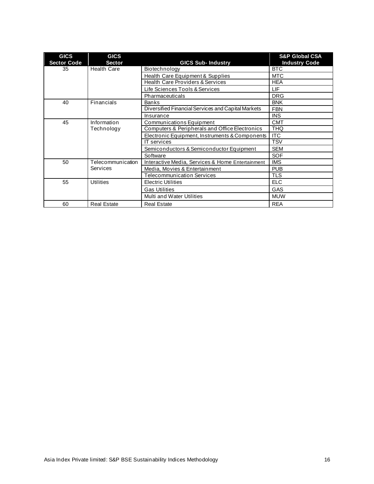| <b>GICS</b><br><b>Sector Code</b> | <b>GICS</b><br><b>Sector</b> | <b>GICS Sub-Industry</b>                           | <b>S&amp;P Global CSA</b><br><b>Industry Code</b> |
|-----------------------------------|------------------------------|----------------------------------------------------|---------------------------------------------------|
| 35                                | <b>Health Care</b>           | Biotechnology                                      | <b>BTC</b>                                        |
|                                   |                              | Health Care Equipment & Supplies                   | <b>MTC</b>                                        |
|                                   |                              | <b>Health Care Providers &amp; Services</b>        | <b>HEA</b>                                        |
|                                   |                              | Life Sciences Tools & Services                     | LIF                                               |
|                                   |                              | Pharmaceuticals                                    | <b>DRG</b>                                        |
| 40                                | Financials                   | <b>Banks</b>                                       | <b>BNK</b>                                        |
|                                   |                              | Diversified Financial Services and Capital Markets | <b>FBN</b>                                        |
|                                   |                              | Insurance                                          | <b>INS</b>                                        |
| 45                                | Information                  | Communications Equipment                           | <b>CMT</b>                                        |
|                                   | Technology                   | Computers & Peripherals and Office Electronics     | <b>THQ</b>                                        |
|                                   |                              | Electronic Equipment, Instruments & Components     | <b>ITC</b>                                        |
|                                   |                              | <b>IT</b> services                                 | <b>TSV</b>                                        |
|                                   |                              | Semiconductors & Semiconductor Equipment           | <b>SEM</b>                                        |
|                                   |                              | Software                                           | <b>SOF</b>                                        |
| 50                                | Telecommunication            | Interactive Media, Services & Home Entertainment   | <b>IMS</b>                                        |
|                                   | Services                     | Media, Movies & Entertainment                      | <b>PUB</b>                                        |
|                                   |                              | <b>Telecommunication Services</b>                  | <b>TLS</b>                                        |
| 55                                | <b>Utilities</b>             | <b>Electric Utilities</b>                          | <b>ELC</b>                                        |
|                                   |                              | <b>Gas Utilities</b>                               | GAS                                               |
|                                   |                              | Multi and Water Utilities                          | <b>MUW</b>                                        |
| 60                                | <b>Real Estate</b>           | <b>Real Estate</b>                                 | <b>REA</b>                                        |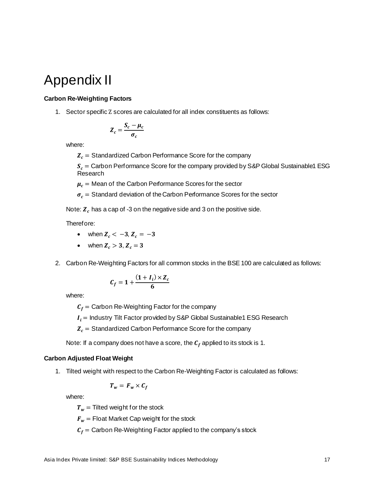## <span id="page-17-0"></span>Appendix II

### <span id="page-17-1"></span>**Carbon Re-Weighting Factors**

1. Sector specific Z scores are calculated for all index constituents as follows:

$$
Z_c = \frac{S_c - \mu_c}{\sigma_c}
$$

where:

 $Z_c$  = Standardized Carbon Performance Score for the company

 $S_c$  = Carbon Performance Score for the company provided by S&P Global Sustainable1 ESG Research

 $\mu_c$  = Mean of the Carbon Performance Scores for the sector

 $\sigma_c$  = Standard deviation of the Carbon Performance Scores for the sector

Note:  $Z<sub>c</sub>$  has a cap of -3 on the negative side and 3 on the positive side.

Therefore:

- when  $Z_c < -3$ ,  $Z_c = -3$
- when  $Z_c > 3$ ,  $Z_c = 3$
- 2. Carbon Re-Weighting Factors for all common stocks in the BSE 100 are calculated as follows:

$$
C_f = 1 + \frac{(1+I_i) \times Z_c}{6}
$$

where:

 $C_f$  = Carbon Re-Weighting Factor for the company

 $I_i$  = Industry Tilt Factor provided by S&P Global Sustainable1 ESG Research

 $Z_c$  = Standardized Carbon Performance Score for the company

Note: If a company does not have a score, the  $C_f$  applied to its stock is 1.

### <span id="page-17-2"></span>**Carbon Adjusted Float Weight**

1. Tilted weight with respect to the Carbon Re-Weighting Factor is calculated as follows:

$$
T_w = F_w \times C_f
$$

where:

 $T_w$  = Tilted weight for the stock

 $F_w$  = Float Market Cap weight for the stock

 $C_f$  = Carbon Re-Weighting Factor applied to the company's stock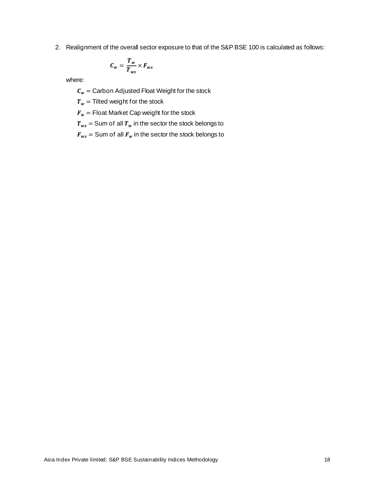2. Realignment of the overall sector exposure to that of the S&P BSE 100 is calculated as follows:

$$
C_w = \frac{T_w}{T_{ws}} \times F_{ws}
$$

where:

 $C_w =$  Carbon Adjusted Float Weight for the stock

 $T_w$  = Tilted weight for the stock

 $F_w$  = Float Market Cap weight for the stock

 $T_{ws}$  = Sum of all  $T_w$  in the sector the stock belongs to

 $F_{ws}$  = Sum of all  $F_w$  in the sector the stock belongs to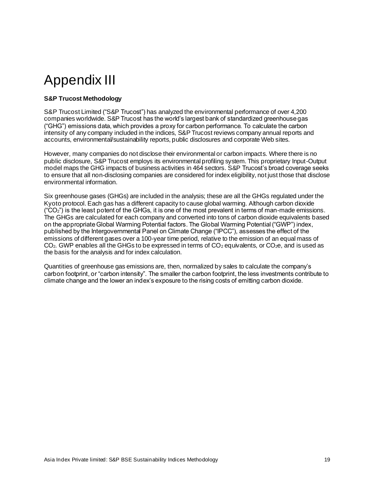## <span id="page-19-0"></span>Appendix III

### <span id="page-19-1"></span>**S&P Trucost Methodology**

S&P Trucost Limited ("S&P Trucost") has analyzed the environmental performance of over 4,200 companies worldwide. S&P Trucost has the world's largest bank of standardized greenhouse gas ("GHG") emissions data, which provides a proxy for carbon performance. To calculate the carbon intensity of any company included in the indices, S&P Trucost reviews company annual reports and accounts, environmental/sustainability reports, public disclosures and corporate Web sites.

However, many companies do not disclose their environmental or carbon impacts. Where there is no public disclosure, S&P Trucost employs its environmental profiling system. This proprietary Input-Output model maps the GHG impacts of business activities in 464 sectors. S&P Trucost's broad coverage seeks to ensure that all non-disclosing companies are considered for index eligibility, not just those that disclose environmental information.

Six greenhouse gases (GHGs) are included in the analysis; these are all the GHGs regulated under the Kyoto protocol. Each gas has a different capacity to cause global warming. Although carbon dioxide  $({^{\circ}CO_{2}}")$  is the least potent of the GHGs, it is one of the most prevalent in terms of man-made emissions. The GHGs are calculated for each company and converted into tons of carbon dioxide equivalents based on the appropriate Global Warming Potential factors. The Global Warming Potential ("GWP") index, published by the Intergovernmental Panel on Climate Change ("IPCC"), assesses the effect of the emissions of different gases over a 100-year time period, relative to the emission of an equal mass of  $CO<sub>2</sub>$ . GWP enables all the GHGs to be expressed in terms of  $CO<sub>2</sub>$  equivalents, or  $CO<sub>2</sub>e$ , and is used as the basis for the analysis and for index calculation.

Quantities of greenhouse gas emissions are, then, normalized by sales to calculate the company's carbon footprint, or "carbon intensity". The smaller the carbon footprint, the less investments contribute to climate change and the lower an index's exposure to the rising costs of emitting carbon dioxide.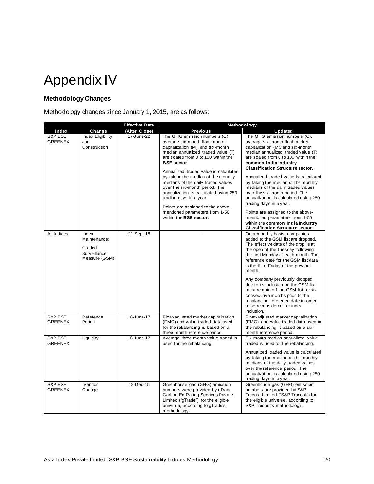<span id="page-20-0"></span>

### <span id="page-20-1"></span>**Methodology Changes**

Methodology changes since January 1, 2015, are as follows:

|                           |                                                                  | <b>Effective Date</b> | Methodology                                                                                                                                                                                                                                                                                                                                                                                                                                                                                                                          |                                                                                                                                                                                                                                                                                                                                                                                                                                                                                                                                                                                                                                         |  |
|---------------------------|------------------------------------------------------------------|-----------------------|--------------------------------------------------------------------------------------------------------------------------------------------------------------------------------------------------------------------------------------------------------------------------------------------------------------------------------------------------------------------------------------------------------------------------------------------------------------------------------------------------------------------------------------|-----------------------------------------------------------------------------------------------------------------------------------------------------------------------------------------------------------------------------------------------------------------------------------------------------------------------------------------------------------------------------------------------------------------------------------------------------------------------------------------------------------------------------------------------------------------------------------------------------------------------------------------|--|
| Index                     | Change                                                           | (After Close)         | <b>Previous</b>                                                                                                                                                                                                                                                                                                                                                                                                                                                                                                                      | <b>Updated</b>                                                                                                                                                                                                                                                                                                                                                                                                                                                                                                                                                                                                                          |  |
| S&P BSE<br><b>GREENEX</b> | <b>Index Eligibility</b><br>and<br>Construction                  | 17-June-22            | The GHG emission numbers (C),<br>average six-month float market<br>capitalization (M), and six-month<br>median annualized traded value (T)<br>are scaled from 0 to 100 within the<br><b>BSE</b> sector.<br>Annualized traded value is calculated<br>by taking the median of the monthly<br>medians of the daily traded values<br>over the six-month period. The<br>annualization is calculated using 250<br>trading days in a year.<br>Points are assigned to the above-<br>mentioned parameters from 1-50<br>within the BSE sector. | The GHG emission numbers (C),<br>average six-month float market<br>capitalization (M), and six-month<br>median annualized traded value (T)<br>are scaled from 0 to 100 within the<br>common India Industry<br><b>Classification Structure sector.</b><br>Annualized traded value is calculated<br>by taking the median of the monthly<br>medians of the daily traded values<br>over the six-month period. The<br>annualization is calculated using 250<br>trading days in a year.<br>Points are assigned to the above-<br>mentioned parameters from 1-50<br>within the common India Industry<br><b>Classification Structure sector.</b> |  |
| All Indices               | Index<br>Maintenance:<br>Graded<br>Surveillance<br>Measure (GSM) | 21-Sept-18            |                                                                                                                                                                                                                                                                                                                                                                                                                                                                                                                                      | On a monthly basis, companies<br>added to the GSM list are dropped.<br>The effective date of the drop is at<br>the open of the Tuesday following<br>the first Monday of each month. The<br>reference date for the GSM list data<br>is the third Friday of the previous<br>month.<br>Any company previously dropped<br>due to its inclusion on the GSM list<br>must remain off the GSM list for six<br>consecutive months prior to the<br>rebalancing reference date in order<br>to be reconsidered for index<br>inclusion.                                                                                                              |  |
| S&P BSE<br><b>GREENEX</b> | Reference<br>Period                                              | 16-June-17            | Float-adjusted market capitalization<br>(FMC) and value traded data used<br>for the rebalancing is based on a<br>three-month reference period.                                                                                                                                                                                                                                                                                                                                                                                       | Float-adjusted market capitalization<br>(FMC) and value traded data used in<br>the rebalancing is based on a six-<br>month reference period.                                                                                                                                                                                                                                                                                                                                                                                                                                                                                            |  |
| S&P BSE<br><b>GREENEX</b> | Liquidity                                                        | 16-June-17            | Average three-month value traded is<br>used for the rebalancing.                                                                                                                                                                                                                                                                                                                                                                                                                                                                     | Six-month median annualized value<br>traded is used for the rebalancing.<br>Annualized traded value is calculated<br>by taking the median of the monthly<br>medians of the daily traded values<br>over the reference period. The<br>annualization is calculated using 250<br>trading days in a year.                                                                                                                                                                                                                                                                                                                                    |  |
| S&P BSE<br><b>GREENEX</b> | Vendor<br>Change                                                 | 18-Dec-15             | Greenhouse gas (GHG) emission<br>numbers were provided by gTrade<br>Carbon Ex Rating Services Private<br>Limited ("qTrade") for the eligible<br>universe, according to gTrade's<br>methodology.                                                                                                                                                                                                                                                                                                                                      | Greenhouse gas (GHG) emission<br>numbers are provided by S&P<br>Trucost Limited ("S&P Trucost") for<br>the eligible universe, according to<br>S&P Trucost's methodology.                                                                                                                                                                                                                                                                                                                                                                                                                                                                |  |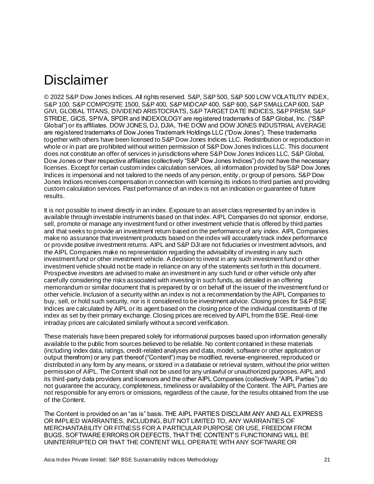## <span id="page-21-0"></span>Disclaimer

© 2022 S&P Dow Jones Indices. All rights reserved. S&P, S&P 500, S&P 500 LOW VOLATILITY INDEX, S&P 100, S&P COMPOSITE 1500, S&P 400, S&P MIDCAP 400, S&P 600, S&P SMALLCAP 600, S&P GIVI, GLOBAL TITANS, DIVIDEND ARISTOCRATS, S&P TARGET DATE INDICES, S&P PRISM, S&P STRIDE, GICS, SPIVA, SPDR and INDEXOLOGY are registered trademarks of S&P Global, Inc. ("S&P Global") or its affiliates. DOW JONES, DJ, DJIA, THE DOW and DOW JONES INDUSTRIAL AVERAGE are registered trademarks of Dow Jones Trademark Holdings LLC ("Dow Jones"). These trademarks together with others have been licensed to S&P Dow Jones Indices LLC. Redistribution or reproduction in whole or in part are prohibited without written permission of S&P Dow Jones Indices LLC. This document does not constitute an offer of services in jurisdictions where S&P Dow Jones Indices LLC, S&P Global, Dow Jones or their respective affiliates (collectively "S&P Dow Jones Indices") do not have the necessary licenses. Except for certain custom index calculation services, all information provided by S&P Dow Jones Indices is impersonal and not tailored to the needs of any person, entity, or group of persons. S&P Dow Jones Indices receives compensation in connection with licensing its indices to third parties and providing custom calculation services. Past performance of an index is not an indication or guarantee of future results.

It is not possible to invest directly in an index. Exposure to an asset class represented by an index is available through investable instruments based on that index. AIPL Companies do not sponsor, endorse, sell, promote or manage any investment fund or other investment vehicle that is offered by third parties and that seeks to provide an investment return based on the performance of any index. AIPL Companies make no assurance that investment products based on the index will accurately track index performance or provide positive investment returns. AIPL and S&P DJI are not fiduciaries or investment advisors, and the AIPL Companies make no representation regarding the advisability of investing in any such investment fund or other investment vehicle. A decision to invest in any such investment fund or other investment vehicle should not be made in reliance on any of the statements set forth in this document. Prospective investors are advised to make an investment in any such fund or other vehicle only after carefully considering the risks associated with investing in such funds, as detailed in an offering memorandum or similar document that is prepared by or on behalf of the issuer of the investment fund or other vehicle. Inclusion of a security within an index is not a recommendation by the AIPL Companies to buy, sell, or hold such security, nor is it considered to be investment advice. Closing prices for S&P BSE Indices are calculated by AIPL or its agent based on the closing price of the individual constituents of the index as set by their primary exchange. Closing prices are received by AIPL from the BSE. Real-time intraday prices are calculated similarly without a second verification.

These materials have been prepared solely for informational purposes based upon information generally available to the public from sources believed to be reliable. No content contained in these materials (including index data, ratings, credit-related analyses and data, model, software or other application or output therefrom) or any part thereof ("Content") may be modified, reverse-engineered, reproduced or distributed in any form by any means, or stored in a database or retrieval system, without the prior written permission of AIPL. The Content shall not be used for any unlawful or unauthorized purposes. AIPL and its third-party data providers and licensors and the other AIPL Companies (collectively "AIPL Parties") do not guarantee the accuracy, completeness, timeliness or availability of the Content. The AIPL Parties are not responsible for any errors or omissions, regardless of the cause, for the results obtained from the use of the Content.

The Content is provided on an "as is" basis. THE AIPL PARTIES DISCLAIM ANY AND ALL EXPRESS OR IMPLIED WARRANTIES, INCLUDING, BUT NOT LIMITED TO, ANY WARRANTIES OF MERCHANTABILITY OR FITNESS FOR A PARTICULAR PURPOSE OR USE, FREEDOM FROM BUGS, SOFTWARE ERRORS OR DEFECTS, THAT THE CONTENT'S FUNCTIONING WILL BE UNINTERRUPTED OR THAT THE CONTENT WILL OPERATE WITH ANY SOFTWARE OR